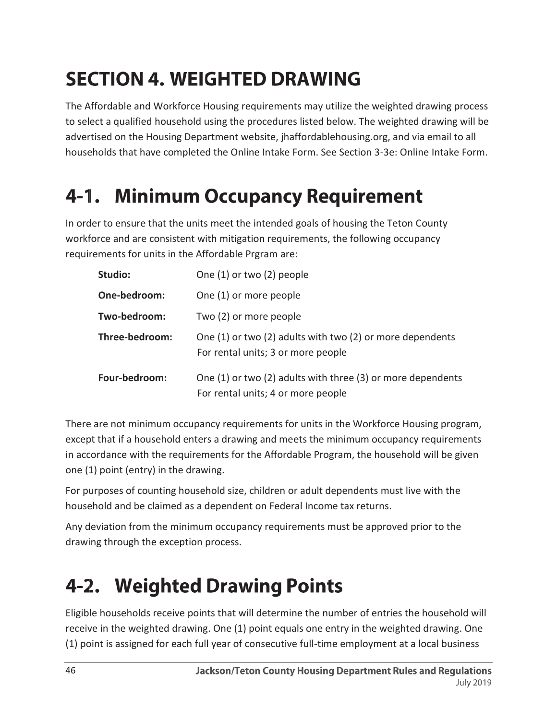# **SECTION 4. WEIGHTED DRAWING**

The Affordable and Workforce Housing requirements may utilize the weighted drawing process to select a qualified household using the procedures listed below. The weighted drawing will be advertised on the Housing Department website, jhaffordablehousing.org, and via email to all households that have completed the Online Intake Form. See Section 3-3e: Online Intake Form.

#### **Minimum Occupancy Requirement** 4-1.

In order to ensure that the units meet the intended goals of housing the Teton County workforce and are consistent with mitigation requirements, the following occupancy requirements for units in the Affordable Prgram are:

| Studio:        | One (1) or two (2) people                                                                         |
|----------------|---------------------------------------------------------------------------------------------------|
| One-bedroom:   | One (1) or more people                                                                            |
| Two-bedroom:   | Two (2) or more people                                                                            |
| Three-bedroom: | One (1) or two (2) adults with two (2) or more dependents<br>For rental units; 3 or more people   |
| Four-bedroom:  | One (1) or two (2) adults with three (3) or more dependents<br>For rental units; 4 or more people |

There are not minimum occupancy requirements for units in the Workforce Housing program, except that if a household enters a drawing and meets the minimum occupancy requirements in accordance with the requirements for the Affordable Program, the household will be given one (1) point (entry) in the drawing.

For purposes of counting household size, children or adult dependents must live with the household and be claimed as a dependent on Federal Income tax returns.

Any deviation from the minimum occupancy requirements must be approved prior to the drawing through the exception process.

## **4-2. Weighted Drawing Points**

Eligible households receive points that will determine the number of entries the household will receive in the weighted drawing. One (1) point equals one entry in the weighted drawing. One (1) point is assigned for each full year of consecutive full-time employment at a local business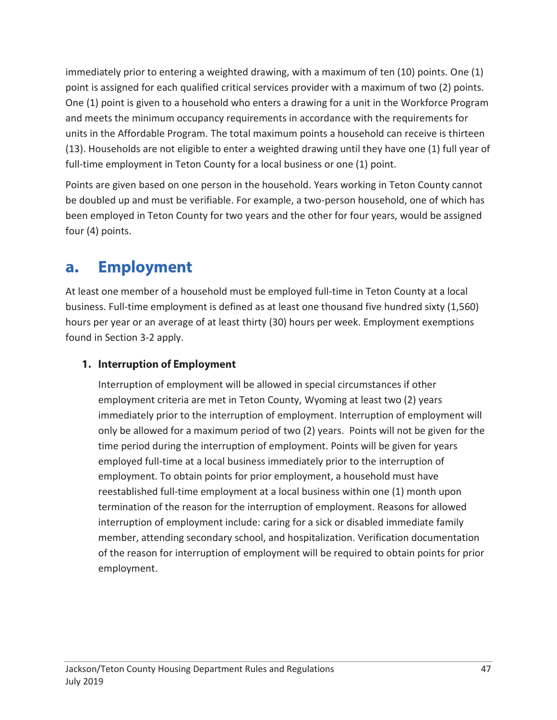immediately prior to entering a weighted drawing, with a maximum of ten (10) points. One (1) point is assigned for each qualified critical services provider with a maximum of two (2) points. One (1) point is given to a household who enters a drawing for a unit in the Workforce Program and meets the minimum occupancy requirements in accordance with the requirements for units in the Affordable Program. The total maximum points a household can receive is thirteen (13). Households are not eligible to enter a weighted drawing until they have one (1) full year of full-time employment in Teton County for a local business or one (1) point.

Points are given based on one person in the household. Years working in Teton County cannot be doubled up and must be verifiable. For example, a two-person household, one of which has been employed in Teton County for two years and the other for four years, would be assigned four (4) points.

#### **Employment** a.

At least one member of a household must be employed full-time in Teton County at a local business. Full-time employment is defined as at least one thousand five hundred sixty (1,560) hours per year or an average of at least thirty (30) hours per week. Employment exemptions found in Section 3-2 apply.

## 1. Interruption of Employment

Interruption of employment will be allowed in special circumstances if other employment criteria are met in Teton County, Wyoming at least two (2) years immediately prior to the interruption of employment. Interruption of employment will only be allowed for a maximum period of two (2) years. Points will not be given for the time period during the interruption of employment. Points will be given for years employed full-time at a local business immediately prior to the interruption of employment. To obtain points for prior employment, a household must have reestablished full-time employment at a local business within one (1) month upon termination of the reason for the interruption of employment. Reasons for allowed interruption of employment include: caring for a sick or disabled immediate family member, attending secondary school, and hospitalization. Verification documentation of the reason for interruption of employment will be required to obtain points for prior employment.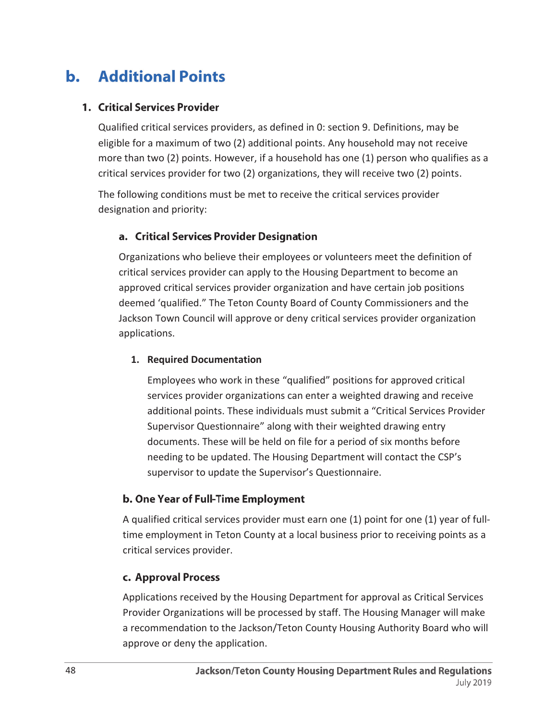#### $\mathbf b$ . **Additional Points**

## 1. Critical Services Provider

Qualified critical services providers, as defined in 0: section 9. Definitions, may be eligible for a maximum of two (2) additional points. Any household may not receive more than two (2) points. However, if a household has one (1) person who qualifies as a critical services provider for two (2) organizations, they will receive two (2) points.

The following conditions must be met to receive the critical services provider designation and priority:

## a. Critical Services Provider Designation

Organizations who believe their employees or volunteers meet the definition of critical services provider can apply to the Housing Department to become an approved critical services provider organization and have certain job positions deemed 'qualified." The Teton County Board of County Commissioners and the Jackson Town Council will approve or deny critical services provider organization applications.

### **1. Required Documentation**

Employees who work in these "qualified" positions for approved critical services provider organizations can enter a weighted drawing and receive additional points. These individuals must submit a "Critical Services Provider Supervisor Questionnaire" along with their weighted drawing entry documents. These will be held on file for a period of six months before needing to be updated. The Housing Department will contact the CSP's supervisor to update the Supervisor's Questionnaire.

## b. One Year of Full-Time Employment

A qualified critical services provider must earn one (1) point for one (1) year of fulltime employment in Teton County at a local business prior to receiving points as a critical services provider.

## c. Approval Process

Applications received by the Housing Department for approval as Critical Services Provider Organizations will be processed by staff. The Housing Manager will make a recommendation to the Jackson/Teton County Housing Authority Board who will approve or deny the application.